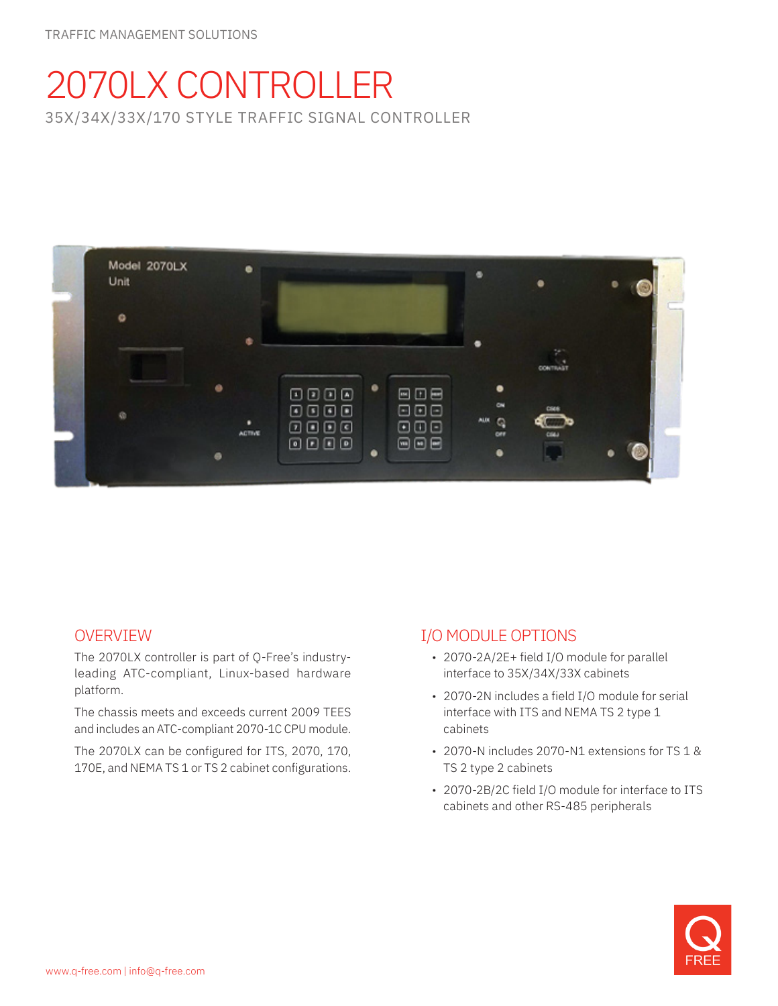# 2070LX CONTROLLER 35X/34X/33X/170 STYLE TRAFFIC SIGNAL CONTROLLER



# OVERVIEW

The 2070LX controller is part of Q-Free's industryleading ATC-compliant, Linux-based hardware platform.

The chassis meets and exceeds current 2009 TEES and includes an ATC-compliant 2070-1C CPU module.

The 2070LX can be configured for ITS, 2070, 170, 170E, and NEMA TS 1 or TS 2 cabinet configurations.

# I/O MODULE OPTIONS

- 2070-2A/2E+ field I/O module for parallel interface to 35X/34X/33X cabinets
- 2070-2N includes a field I/O module for serial interface with ITS and NEMA TS 2 type 1 cabinets
- 2070-N includes 2070-N1 extensions for TS 1 & TS 2 type 2 cabinets
- 2070-2B/2C field I/O module for interface to ITS cabinets and other RS-485 peripherals